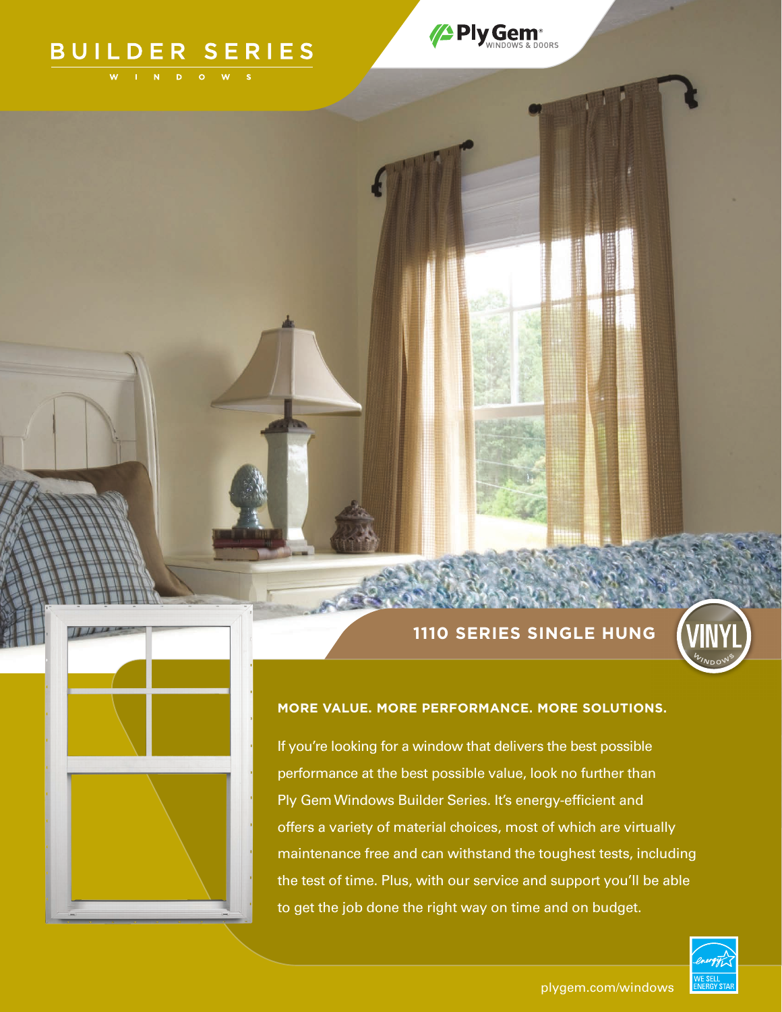# BUILDER SERIES

/PlyGem<sup>®</sup>

# **1110 SERIES SINGLE HUNG**



# **MORE VALUE. MORE PERFORMANCE. MORE SOLUTIONS.**

If you're looking for a window that delivers the best possible performance at the best possible value, look no further than Ply Gem Windows Builder Series. It's energy-efficient and offers a variety of material choices, most of which are virtually maintenance free and can withstand the toughest tests, including the test of time. Plus, with our service and support you'll be able to get the job done the right way on time and on budget.